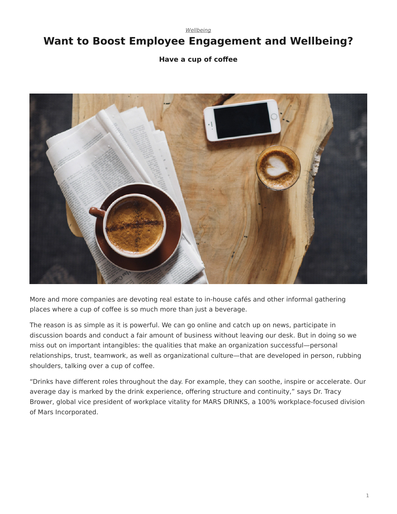*[Wellbeing](https://www.steelcase.com/research/topics/wellbeing/)*

## <span id="page-0-0"></span>**Want to Boost Employee Engagement and Wellbeing?**

## **Have a cup of coffee**



More and more companies are devoting real estate to in-house cafés and other informal gathering places where a cup of coffee is so much more than just a beverage.

The reason is as simple as it is powerful. We can go online and catch up on news, participate in discussion boards and conduct a fair amount of business without leaving our desk. But in doing so we miss out on important intangibles: the qualities that make an organization successful—personal relationships, trust, teamwork, as well as organizational culture—that are developed in person, rubbing shoulders, talking over a cup of coffee.

"Drinks have different roles throughout the day. For example, they can soothe, inspire or accelerate. Our average day is marked by the drink experience, offering structure and continuity," says Dr. Tracy Brower, global vice president of workplace vitality for MARS DRINKS, a 100% workplace-focused division of Mars Incorporated.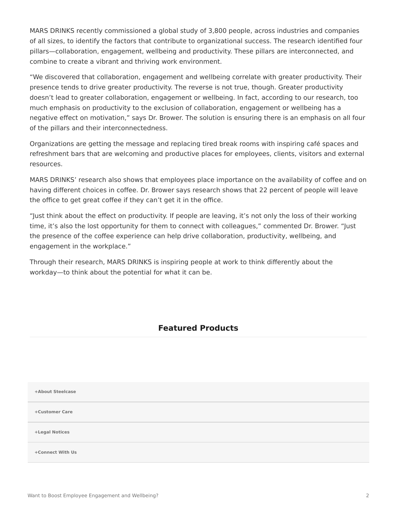MARS DRINKS recently commissioned a global study of 3,800 people, across industries and companies of all sizes, to identify the factors that contribute to organizational success. The research identified four pillars—collaboration, engagement, wellbeing and productivity. These pillars are interconnected, and combine to create a vibrant and thriving work environment.

"We discovered that collaboration, engagement and wellbeing correlate with greater productivity. Their presence tends to drive greater productivity. The reverse is not true, though. Greater productivity doesn't lead to greater collaboration, engagement or wellbeing. In fact, according to our research, too much emphasis on productivity to the exclusion of collaboration, engagement or wellbeing has a negative effect on motivation," says Dr. Brower. The solution is ensuring there is an emphasis on all four of the pillars and their interconnectedness.

Organizations are getting the message and replacing tired break rooms with inspiring café spaces and refreshment bars that are welcoming and productive places for employees, clients, visitors and external resources.

MARS DRINKS' research also shows that employees place importance on the availability of coffee and on having different choices in coffee. Dr. Brower says research shows that 22 percent of people will leave the office to get great coffee if they can't get it in the office.

"Just think about the effect on productivity. If people are leaving, it's not only the loss of their working time, it's also the lost opportunity for them to connect with colleagues," commented Dr. Brower. "Just the presence of the coffee experience can help drive collaboration, productivity, wellbeing, and engagement in the workplace."

Through their research, MARS DRINKS is inspiring people at work to think differently about the workday—to think about the potential for what it can be.

## **Featured Products**

**[+About Steelcase](https://www.steelcase.com/discover/steelcase/our-company/)**

**[+Customer Care](#page-0-0)**

**[+Legal Notices](#page-0-0)**

**[Connect With Us](https://www.steelcase.com/find-us/social-media/) [+](https://www.steelcase.com/find-us/social-media/)**